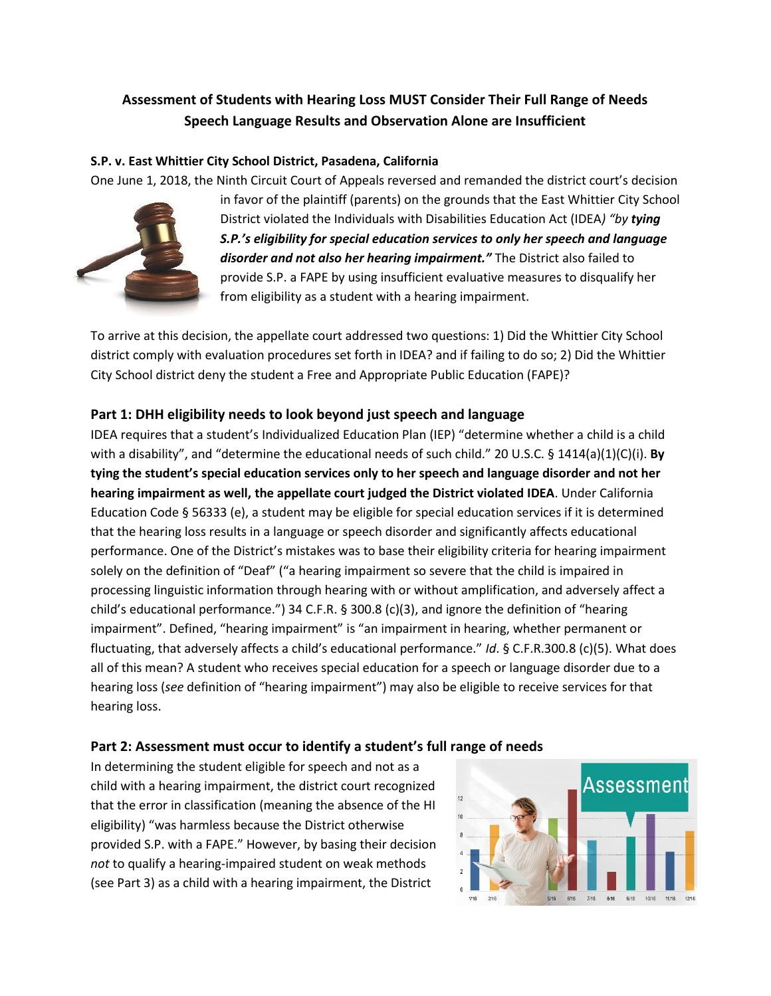# **Assessment of Students with Hearing Loss MUST Consider Their Full Range of Needs Speech Language Results and Observation Alone are Insufficient**

#### **S.P. v. East Whittier City School District, Pasadena, California**

One June 1, 2018, the Ninth Circuit Court of Appeals reversed and remanded the district court's decision



in favor of the plaintiff (parents) on the grounds that the East Whittier City School District violated the Individuals with Disabilities Education Act (IDEA*) "by tying S.P.'s eligibility for special education services to only her speech and language disorder and not also her hearing impairment."* The District also failed to provide S.P. a FAPE by using insufficient evaluative measures to disqualify her from eligibility as a student with a hearing impairment.

To arrive at this decision, the appellate court addressed two questions: 1) Did the Whittier City School district comply with evaluation procedures set forth in IDEA? and if failing to do so; 2) Did the Whittier City School district deny the student a Free and Appropriate Public Education (FAPE)?

## **Part 1: DHH eligibility needs to look beyond just speech and language**

IDEA requires that a student's Individualized Education Plan (IEP) "determine whether a child is a child with a disability", and "determine the educational needs of such child." 20 U.S.C. § 1414(a)(1)(C)(i). **By tying the student's special education services only to her speech and language disorder and not her hearing impairment as well, the appellate court judged the District violated IDEA**. Under California Education Code § 56333 (e), a student may be eligible for special education services if it is determined that the hearing loss results in a language or speech disorder and significantly affects educational performance. One of the District's mistakes was to base their eligibility criteria for hearing impairment solely on the definition of "Deaf" ("a hearing impairment so severe that the child is impaired in processing linguistic information through hearing with or without amplification, and adversely affect a child's educational performance.") 34 C.F.R. § 300.8 (c)(3), and ignore the definition of "hearing impairment". Defined, "hearing impairment" is "an impairment in hearing, whether permanent or fluctuating, that adversely affects a child's educational performance." *Id*. § C.F.R.300.8 (c)(5). What does all of this mean? A student who receives special education for a speech or language disorder due to a hearing loss (*see* definition of "hearing impairment") may also be eligible to receive services for that hearing loss.

#### **Part 2: Assessment must occur to identify a student's full range of needs**

In determining the student eligible for speech and not as a child with a hearing impairment, the district court recognized that the error in classification (meaning the absence of the HI eligibility) "was harmless because the District otherwise provided S.P. with a FAPE." However, by basing their decision *not* to qualify a hearing-impaired student on weak methods (see Part 3) as a child with a hearing impairment, the District